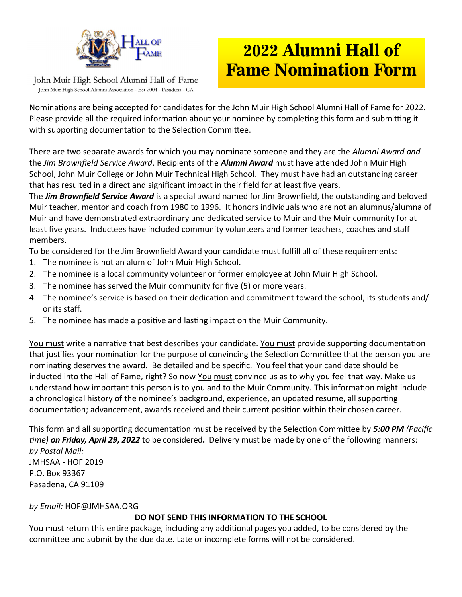

## **2022 Alumni Hall of Fame Nomination Form**

John Muir High School Alumni Hall of Fame John Muir High School Alumni Association - Est 2004 - Pasadena - CA

Nominations are being accepted for candidates for the John Muir High School Alumni Hall of Fame for 2022. Please provide all the required information about your nominee by completing this form and submitting it with supporting documentation to the Selection Committee.

There are two separate awards for which you may nominate someone and they are the *Alumni Award and* the *Jim Brownfield Service Award*. Recipients of the *Alumni Award* must have attended John Muir High School, John Muir College or John Muir Technical High School. They must have had an outstanding career that has resulted in a direct and significant impact in their field for at least five years.

The *Jim Brownfield Service Award* is a special award named for Jim Brownfield, the outstanding and beloved Muir teacher, mentor and coach from 1980 to 1996. It honors individuals who are not an alumnus/alumna of Muir and have demonstrated extraordinary and dedicated service to Muir and the Muir community for at least five years. Inductees have included community volunteers and former teachers, coaches and staff members.

To be considered for the Jim Brownfield Award your candidate must fulfill all of these requirements:

- 1. The nominee is not an alum of John Muir High School.
- 2. The nominee is a local community volunteer or former employee at John Muir High School.
- 3. The nominee has served the Muir community for five (5) or more years.
- 4. The nominee's service is based on their dedication and commitment toward the school, its students and/ or its staff.
- 5. The nominee has made a positive and lasting impact on the Muir Community.

You must write a narrative that best describes your candidate. You must provide supporting documentation that justifies your nomination for the purpose of convincing the Selection Committee that the person you are nominating deserves the award. Be detailed and be specific. You feel that your candidate should be inducted into the Hall of Fame, right? So now You must convince us as to why you feel that way. Make us understand how important this person is to you and to the Muir Community. This information might include a chronological history of the nominee's background, experience, an updated resume, all supporting documentation; advancement, awards received and their current position within their chosen career.

This form and all supporting documentation must be received by the Selection Committee by *5:00 PM (Pacific time) on Friday, April 29, 2022* to be considered**.** Delivery must be made by one of the following manners: *by Postal Mail:* JMHSAA - HOF 2019 P.O. Box 93367 Pasadena, CA 91109

*by Email:* HOF@JMHSAA.ORG

## **DO NOT SEND THIS INFORMATION TO THE SCHOOL**

You must return this entire package, including any additional pages you added, to be considered by the committee and submit by the due date. Late or incomplete forms will not be considered.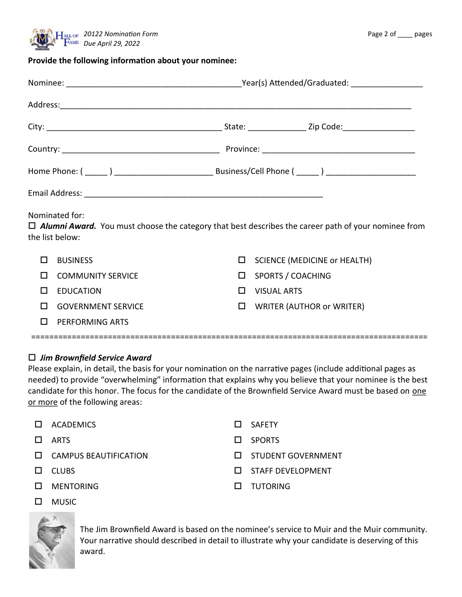

## **Provide the following information about your nominee:**

| Nominated for:<br>$\Box$ <b>Alumni Award.</b> You must choose the category that best describes the career path of your nominee from<br>the list below: |                           |        |                                     |  |  |
|--------------------------------------------------------------------------------------------------------------------------------------------------------|---------------------------|--------|-------------------------------------|--|--|
| П                                                                                                                                                      | <b>BUSINESS</b>           | □      | <b>SCIENCE (MEDICINE or HEALTH)</b> |  |  |
| $\mathbf{L}$                                                                                                                                           | <b>COMMUNITY SERVICE</b>  | □      | <b>SPORTS / COACHING</b>            |  |  |
| $\mathbf{L}$                                                                                                                                           | <b>EDUCATION</b>          | П      | <b>VISUAL ARTS</b>                  |  |  |
| $\mathbf{L}$                                                                                                                                           | <b>GOVERNMENT SERVICE</b> | $\Box$ | <b>WRITER (AUTHOR or WRITER)</b>    |  |  |
| ΙI                                                                                                                                                     | PERFORMING ARTS           |        |                                     |  |  |

## *Jim Brownfield Service Award*

Please explain, in detail, the basis for your nomination on the narrative pages (include additional pages as needed) to provide "overwhelming" information that explains why you believe that your nominee is the best candidate for this honor. The focus for the candidate of the Brownfield Service Award must be based on one or more of the following areas:

========================================================================================

- $\square$  ACADEMICS  $\square$  SAFETY  $\square$  ARTS  $\square$  SPORTS  $\square$  CAMPUS BEAUTIFICATION  $\square$  STUDENT GOVERNMENT  $\square$  CLUBS  $\square$  CLUBS  $\square$  MENTORING  $\square$  TUTORING
- 

MUSIC

The Jim Brownfield Award is based on the nominee's service to Muir and the Muir community. Your narrative should described in detail to illustrate why your candidate is deserving of this award.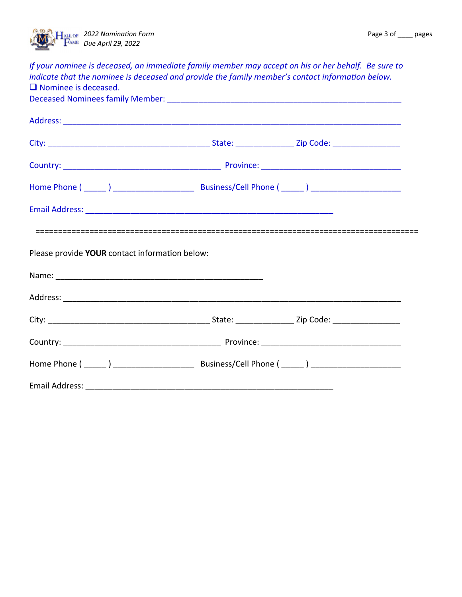

| If your nominee is deceased, an immediate family member may accept on his or her behalf. Be sure to<br>indicate that the nominee is deceased and provide the family member's contact information below.<br>$\Box$ Nominee is deceased. |  |  |  |
|----------------------------------------------------------------------------------------------------------------------------------------------------------------------------------------------------------------------------------------|--|--|--|
|                                                                                                                                                                                                                                        |  |  |  |
|                                                                                                                                                                                                                                        |  |  |  |
|                                                                                                                                                                                                                                        |  |  |  |
|                                                                                                                                                                                                                                        |  |  |  |
|                                                                                                                                                                                                                                        |  |  |  |
| Please provide YOUR contact information below:                                                                                                                                                                                         |  |  |  |
|                                                                                                                                                                                                                                        |  |  |  |
|                                                                                                                                                                                                                                        |  |  |  |
|                                                                                                                                                                                                                                        |  |  |  |
|                                                                                                                                                                                                                                        |  |  |  |
|                                                                                                                                                                                                                                        |  |  |  |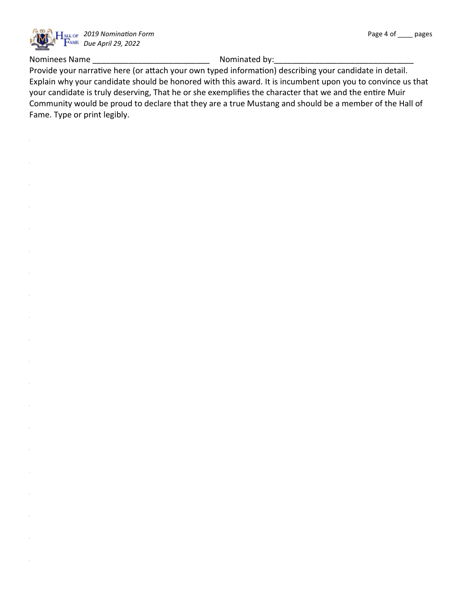

Nominees Name

Nominated by:

Provide your narrative here (or attach your own typed information) describing your candidate in detail. Explain why your candidate should be honored with this award. It is incumbent upon you to convince us that your candidate is truly deserving, That he or she exemplifies the character that we and the entire Muir Community would be proud to declare that they are a true Mustang and should be a member of the Hall of Fame. Type or print legibly.